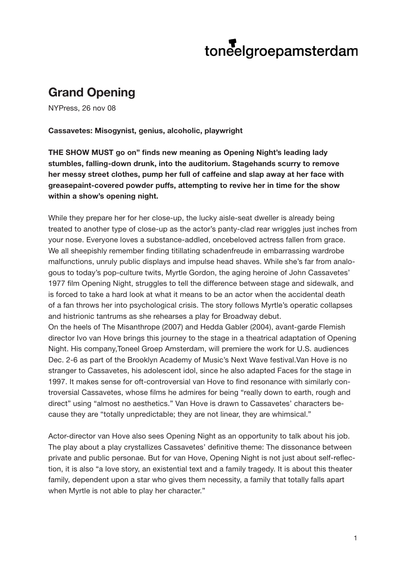## toneelgroepamsterdam

## **Grand Opening**

NYPress, 26 nov 08

## **Cassavetes: Misogynist, genius, alcoholic, playwright**

**THE SHOW MUST go on" finds new meaning as Opening Night's leading lady stumbles, falling-down drunk, into the auditorium. Stagehands scurry to remove her messy street clothes, pump her full of caffeine and slap away at her face with greasepaint-covered powder puffs, attempting to revive her in time for the show within a show's opening night.**

While they prepare her for her close-up, the lucky aisle-seat dweller is already being treated to another type of close-up as the actor's panty-clad rear wriggles just inches from your nose. Everyone loves a substance-addled, oncebeloved actress fallen from grace. We all sheepishly remember finding titillating schadenfreude in embarrassing wardrobe malfunctions, unruly public displays and impulse head shaves. While she's far from analogous to today's pop-culture twits, Myrtle Gordon, the aging heroine of John Cassavetes' 1977 film Opening Night, struggles to tell the difference between stage and sidewalk, and is forced to take a hard look at what it means to be an actor when the accidental death of a fan throws her into psychological crisis. The story follows Myrtle's operatic collapses and histrionic tantrums as she rehearses a play for Broadway debut.

On the heels of The Misanthrope (2007) and Hedda Gabler (2004), avant-garde Flemish director Ivo van Hove brings this journey to the stage in a theatrical adaptation of Opening Night. His company,Toneel Groep Amsterdam, will premiere the work for U.S. audiences Dec. 2-6 as part of the Brooklyn Academy of Music's Next Wave festival.Van Hove is no stranger to Cassavetes, his adolescent idol, since he also adapted Faces for the stage in 1997. It makes sense for oft-controversial van Hove to find resonance with similarly controversial Cassavetes, whose films he admires for being "really down to earth, rough and direct" using "almost no aesthetics." Van Hove is drawn to Cassavetes' characters because they are "totally unpredictable; they are not linear, they are whimsical."

Actor-director van Hove also sees Opening Night as an opportunity to talk about his job. The play about a play crystallizes Cassavetes' definitive theme: The dissonance between private and public personae. But for van Hove, Opening Night is not just about self-reflection, it is also "a love story, an existential text and a family tragedy. It is about this theater family, dependent upon a star who gives them necessity, a family that totally falls apart when Myrtle is not able to play her character."